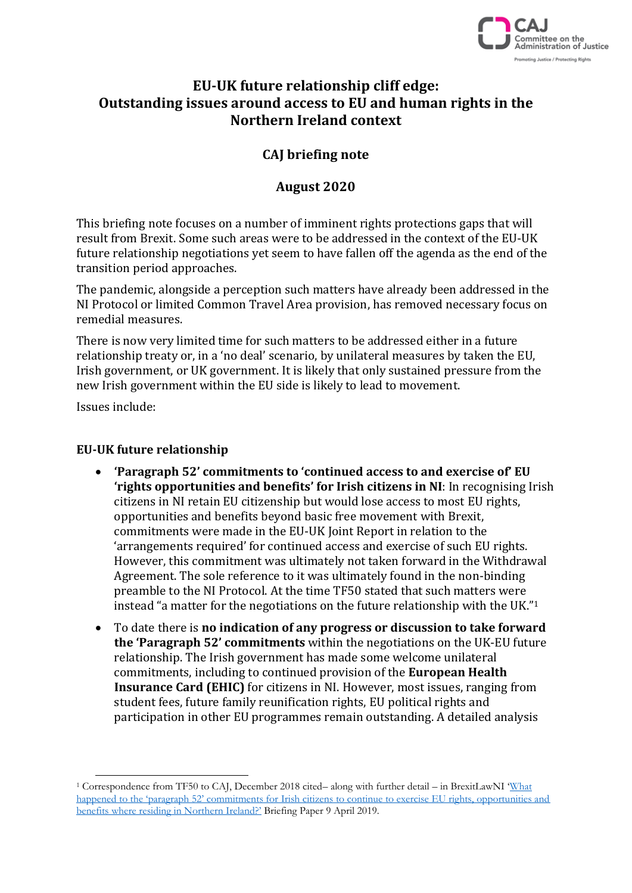

# **EU-UK future relationship cliff edge: Outstanding issues around access to EU and human rights in the Northern Ireland context**

# **CAJ briefing note**

## **August 2020**

This briefing note focuses on a number of imminent rights protections gaps that will result from Brexit. Some such areas were to be addressed in the context of the EU-UK future relationship negotiations yet seem to have fallen off the agenda as the end of the transition period approaches.

The pandemic, alongside a perception such matters have already been addressed in the NI Protocol or limited Common Travel Area provision, has removed necessary focus on remedial measures.

There is now very limited time for such matters to be addressed either in a future relationship treaty or, in a 'no deal' scenario, by unilateral measures by taken the EU, Irish government, or UK government. It is likely that only sustained pressure from the new Irish government within the EU side is likely to lead to movement.

Issues include:

 $\overline{a}$ 

### **EU-UK future relationship**

- **'Paragraph 52' commitments to 'continued access to and exercise of' EU 'rights opportunities and benefits' for Irish citizens in NI**: In recognising Irish citizens in NI retain EU citizenship but would lose access to most EU rights, opportunities and benefits beyond basic free movement with Brexit, commitments were made in the EU-UK Joint Report in relation to the 'arrangements required' for continued access and exercise of such EU rights. However, this commitment was ultimately not taken forward in the Withdrawal Agreement. The sole reference to it was ultimately found in the non-binding preamble to the NI Protocol. At the time TF50 stated that such matters were instead "a matter for the negotiations on the future relationship with the UK."<sup>1</sup>
- To date there is **no indication of any progress or discussion to take forward the 'Paragraph 52' commitments** within the negotiations on the UK-EU future relationship. The Irish government has made some welcome unilateral commitments, including to continued provision of the **European Health Insurance Card (EHIC)** for citizens in NI. However, most issues, ranging from student fees, future family reunification rights, EU political rights and participation in other EU programmes remain outstanding. A detailed analysis

<sup>1</sup> Correspondence from TF50 to CAJ, December 2018 cited– along with further detail – in BrexitLawNI '[What](https://brexitlawni.org/library/resources/paragraph-52-briefing-paper)  [happened to the 'paragraph 52' commitments for Irish citizens to continue to exercise EU rights, opportunities and](https://brexitlawni.org/library/resources/paragraph-52-briefing-paper)  [benefits where residing in Northern Ireland?'](https://brexitlawni.org/library/resources/paragraph-52-briefing-paper) Briefing Paper 9 April 2019.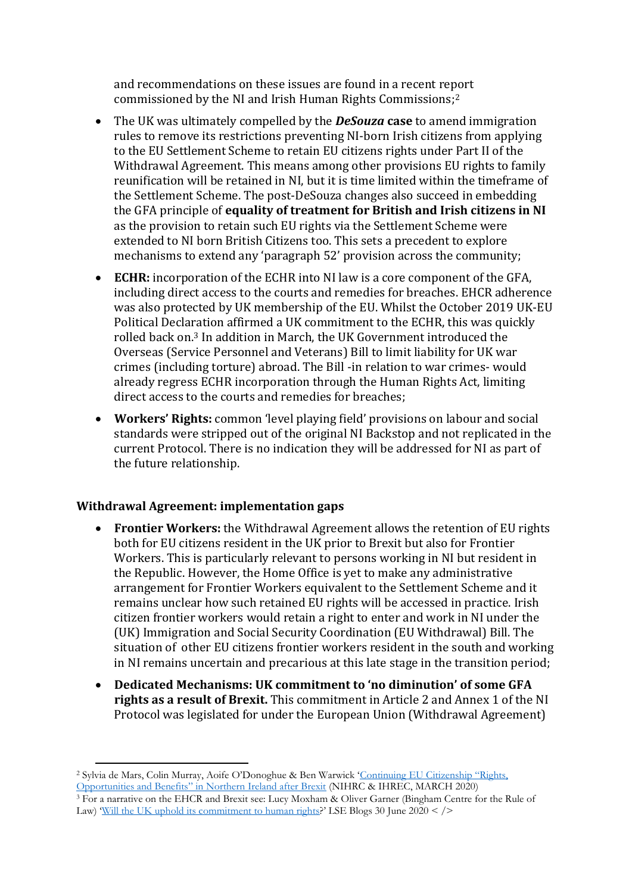and recommendations on these issues are found in a recent report commissioned by the NI and Irish Human Rights Commissions; 2

- The UK was ultimately compelled by the *DeSouza* **case** to amend immigration rules to remove its restrictions preventing NI-born Irish citizens from applying to the EU Settlement Scheme to retain EU citizens rights under Part II of the Withdrawal Agreement. This means among other provisions EU rights to family reunification will be retained in NI, but it is time limited within the timeframe of the Settlement Scheme. The post-DeSouza changes also succeed in embedding the GFA principle of **equality of treatment for British and Irish citizens in NI** as the provision to retain such EU rights via the Settlement Scheme were extended to NI born British Citizens too. This sets a precedent to explore mechanisms to extend any 'paragraph 52' provision across the community;
- **ECHR:** incorporation of the ECHR into NI law is a core component of the GFA, including direct access to the courts and remedies for breaches. EHCR adherence was also protected by UK membership of the EU. Whilst the October 2019 UK-EU Political Declaration affirmed a UK commitment to the ECHR, this was quickly rolled back on. <sup>3</sup> In addition in March, the UK Government introduced the Overseas (Service Personnel and Veterans) Bill to limit liability for UK war crimes (including torture) abroad. The Bill -in relation to war crimes- would already regress ECHR incorporation through the Human Rights Act, limiting direct access to the courts and remedies for breaches;
- **Workers' Rights:** common 'level playing field' provisions on labour and social standards were stripped out of the original NI Backstop and not replicated in the current Protocol. There is no indication they will be addressed for NI as part of the future relationship.

#### **Withdrawal Agreement: implementation gaps**

- **Frontier Workers:** the Withdrawal Agreement allows the retention of EU rights both for EU citizens resident in the UK prior to Brexit but also for Frontier Workers. This is particularly relevant to persons working in NI but resident in the Republic. However, the Home Office is yet to make any administrative arrangement for Frontier Workers equivalent to the Settlement Scheme and it remains unclear how such retained EU rights will be accessed in practice. Irish citizen frontier workers would retain a right to enter and work in NI under the (UK) Immigration and Social Security Coordination (EU Withdrawal) Bill. The situation of other EU citizens frontier workers resident in the south and working in NI remains uncertain and precarious at this late stage in the transition period;
- **Dedicated Mechanisms: UK commitment to 'no diminution' of some GFA rights as a result of Brexit.** This commitment in Article 2 and Annex 1 of the NI Protocol was legislated for under the European Union (Withdrawal Agreement)

 $\overline{a}$ <sup>2</sup> Sylvia de Mars, Colin Murray, Aoife O'Donoghue & Ben Warwick '[Continuing EU Citi](https://www.nihrc.org/publication/detail/continuing-eu-citizenship-rights-opportunities-and-benefits-in-northern-ireland-after-brexit)zenship "Rights, [Opportunities and Benefits" in Northern Ireland after Brexit](https://www.nihrc.org/publication/detail/continuing-eu-citizenship-rights-opportunities-and-benefits-in-northern-ireland-after-brexit) (NIHRC & IHREC, MARCH 2020)

<sup>&</sup>lt;sup>3</sup> For a narrative on the EHCR and Brexit see: Lucy Moxham & Oliver Garner (Bingham Centre for the Rule of Law) '[Will the UK uphold its commitment to human rights](https://blogs.lse.ac.uk/brexit/2020/06/30/long-read-will-the-uk-uphold-its-commitment-to-human-rights)?' LSE Blogs 30 June  $2020 <$  />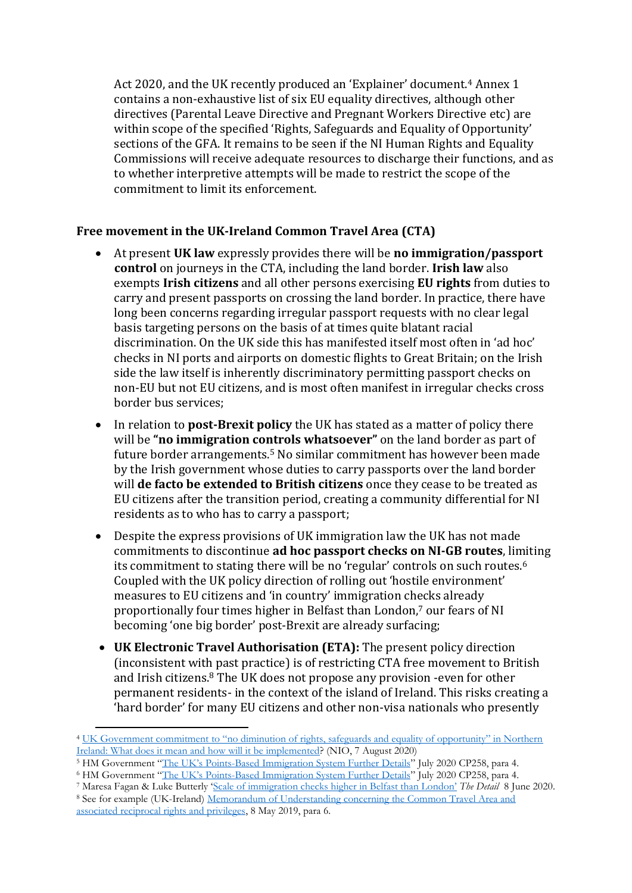Act 2020, and the UK recently produced an 'Explainer' document.<sup>4</sup> Annex 1 contains a non-exhaustive list of six EU equality directives, although other directives (Parental Leave Directive and Pregnant Workers Directive etc) are within scope of the specified 'Rights, Safeguards and Equality of Opportunity' sections of the GFA. It remains to be seen if the NI Human Rights and Equality Commissions will receive adequate resources to discharge their functions, and as to whether interpretive attempts will be made to restrict the scope of the commitment to limit its enforcement.

### **Free movement in the UK-Ireland Common Travel Area (CTA)**

- At present **UK law** expressly provides there will be **no immigration/passport control** on journeys in the CTA, including the land border. **Irish law** also exempts **Irish citizens** and all other persons exercising **EU rights** from duties to carry and present passports on crossing the land border. In practice, there have long been concerns regarding irregular passport requests with no clear legal basis targeting persons on the basis of at times quite blatant racial discrimination. On the UK side this has manifested itself most often in 'ad hoc' checks in NI ports and airports on domestic flights to Great Britain; on the Irish side the law itself is inherently discriminatory permitting passport checks on non-EU but not EU citizens, and is most often manifest in irregular checks cross border bus services;
- In relation to **post-Brexit policy** the UK has stated as a matter of policy there will be **"no immigration controls whatsoever"** on the land border as part of future border arrangements.<sup>5</sup> No similar commitment has however been made by the Irish government whose duties to carry passports over the land border will **de facto be extended to British citizens** once they cease to be treated as EU citizens after the transition period, creating a community differential for NI residents as to who has to carry a passport;
- Despite the express provisions of UK immigration law the UK has not made commitments to discontinue **ad hoc passport checks on NI-GB routes**, limiting its commitment to stating there will be no 'regular' controls on such routes.<sup>6</sup> Coupled with the UK policy direction of rolling out 'hostile environment' measures to EU citizens and 'in country' immigration checks already proportionally four times higher in Belfast than London, <sup>7</sup> our fears of NI becoming 'one big border' post-Brexit are already surfacing;
- **UK Electronic Travel Authorisation (ETA):** The present policy direction (inconsistent with past practice) is of restricting CTA free movement to British and Irish citizens. <sup>8</sup> The UK does not propose any provision -even for other permanent residents- in the context of the island of Ireland. This risks creating a 'hard border' for many EU citizens and other non-visa nationals who presently

<sup>5</sup> HM Government "The UK's Points[-Based Immigration System Further Details](https://www.gov.uk/government/publications/uk-points-based-immigration-system-further-details-statement)" July 2020 CP258, para 4.

 $\overline{a}$ 

<sup>7</sup> Maresa Fagan & Luke Butterly ['Scale of immigration checks higher in Belfast than London'](https://thedetail.tv/articles/scale-of-immigration-checks-higher-in-belfast-than-london) *The Detail* 8 June 2020. <sup>8</sup> See for example (UK-Ireland) [Memorandum of Understanding concerning the Common Travel Area and](https://www.gov.uk/government/publications/memorandum-of-understanding-between-the-uk-and-ireland-on-the-cta)  [associated reciprocal rights and privileges,](https://www.gov.uk/government/publications/memorandum-of-understanding-between-the-uk-and-ireland-on-the-cta) 8 May 2019, para 6.

<sup>4</sup> [UK Government commitment to "no diminution of rights, safeguards and equality of opportunity" in Northern](https://www.gov.uk/government/publications/protocol-on-irelandnorthern-ireland-article-2)  [Ireland: What does it mean and how will it be implemented?](https://www.gov.uk/government/publications/protocol-on-irelandnorthern-ireland-article-2) (NIO, 7 August 2020)

<sup>&</sup>lt;sup>6</sup> HM Government "The UK's Points[-Based Immigration System Further Details](https://www.gov.uk/government/publications/uk-points-based-immigration-system-further-details-statement)" July 2020 CP258, para 4.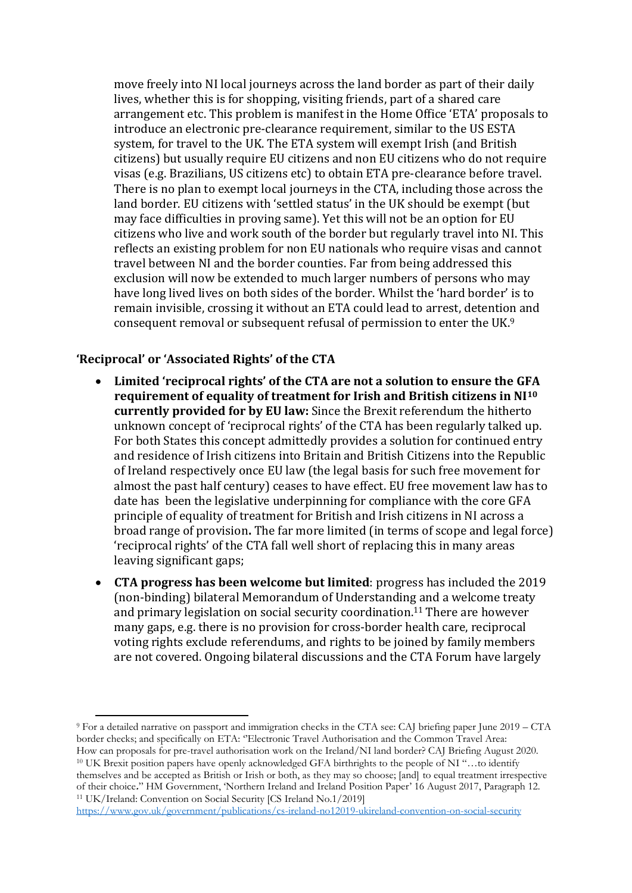move freely into NI local journeys across the land border as part of their daily lives, whether this is for shopping, visiting friends, part of a shared care arrangement etc. This problem is manifest in the Home Office 'ETA' proposals to introduce an electronic pre-clearance requirement, similar to the US ESTA system, for travel to the UK. The ETA system will exempt Irish (and British citizens) but usually require EU citizens and non EU citizens who do not require visas (e.g. Brazilians, US citizens etc) to obtain ETA pre-clearance before travel. There is no plan to exempt local journeys in the CTA, including those across the land border. EU citizens with 'settled status' in the UK should be exempt (but may face difficulties in proving same). Yet this will not be an option for EU citizens who live and work south of the border but regularly travel into NI. This reflects an existing problem for non EU nationals who require visas and cannot travel between NI and the border counties. Far from being addressed this exclusion will now be extended to much larger numbers of persons who may have long lived lives on both sides of the border. Whilst the 'hard border' is to remain invisible, crossing it without an ETA could lead to arrest, detention and consequent removal or subsequent refusal of permission to enter the UK.<sup>9</sup>

#### **'Reciprocal' or 'Associated Rights' of the CTA**

 $\overline{a}$ 

- **Limited 'reciprocal rights' of the CTA are not a solution to ensure the GFA requirement of equality of treatment for Irish and British citizens in NI<sup>10</sup> currently provided for by EU law:** Since the Brexit referendum the hitherto unknown concept of 'reciprocal rights' of the CTA has been regularly talked up. For both States this concept admittedly provides a solution for continued entry and residence of Irish citizens into Britain and British Citizens into the Republic of Ireland respectively once EU law (the legal basis for such free movement for almost the past half century) ceases to have effect. EU free movement law has to date has been the legislative underpinning for compliance with the core GFA principle of equality of treatment for British and Irish citizens in NI across a broad range of provision**.** The far more limited (in terms of scope and legal force) 'reciprocal rights' of the CTA fall well short of replacing this in many areas leaving significant gaps;
- **CTA progress has been welcome but limited**: progress has included the 2019 (non-binding) bilateral Memorandum of Understanding and a welcome treaty and primary legislation on social security coordination. <sup>11</sup> There are however many gaps, e.g. there is no provision for cross-border health care, reciprocal voting rights exclude referendums, and rights to be joined by family members are not covered. Ongoing bilateral discussions and the CTA Forum have largely

<sup>9</sup> For a detailed narrative on passport and immigration checks in the CTA see: CAJ briefing paper June 2019 – CTA border checks; and specifically on ETA: ''Electronic Travel Authorisation and the Common Travel Area: How can proposals for pre-travel authorisation work on the Ireland/NI land border? CAJ Briefing August 2020. <sup>10</sup> UK Brexit position papers have openly acknowledged GFA birthrights to the people of NI "…to identify themselves and be accepted as British or Irish or both, as they may so choose; [and] to equal treatment irrespective

of their choice**.**" HM Government, 'Northern Ireland and Ireland Position Paper' 16 August 2017, Paragraph 12. <sup>11</sup> UK/Ireland: Convention on Social Security [CS Ireland No.1/2019]

<https://www.gov.uk/government/publications/cs-ireland-no12019-ukireland-convention-on-social-security>